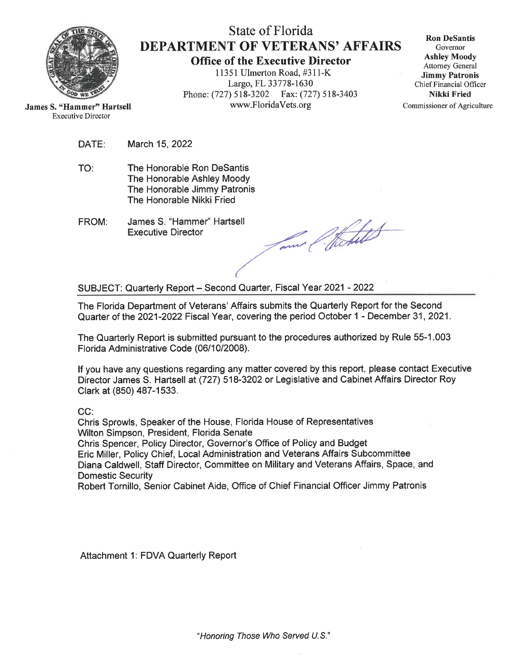

# State of Florida **DEPARTMENT OF VETERANS' AFFAIRS**

**Office of the Executive Director** 11351 Ulmerton Road, #311-K Largo, FL 33778-1630 Phone: (727) 518-3202 Fax: (727) 518-3403 www.FloridaVets.org

**Ron DeSantis** Governor **Ashley Moody Attorney General Jimmy Patronis** Chief Financial Officer Nikki Fried Commissioner of Agriculture

**James S. "Hammer" Hartsell Executive Director** 

- DATE: March 15, 2022
- The Honorable Ron DeSantis TO: The Honorable Ashley Moody The Honorable Jimmy Patronis The Honorable Nikki Fried
- James S. "Hammer" Hartsell FROM: **Executive Director**

mer Chitest

SUBJECT: Quarterly Report - Second Quarter, Fiscal Year 2021 - 2022

The Florida Department of Veterans' Affairs submits the Quarterly Report for the Second Quarter of the 2021-2022 Fiscal Year, covering the period October 1 - December 31, 2021.

The Quarterly Report is submitted pursuant to the procedures authorized by Rule 55-1.003 Florida Administrative Code (06/10/2008).

If you have any questions regarding any matter covered by this report, please contact Executive Director James S. Hartsell at (727) 518-3202 or Legislative and Cabinet Affairs Director Roy Clark at (850) 487-1533.

 $CC:$ 

Chris Sprowls. Speaker of the House, Florida House of Representatives Wilton Simpson, President, Florida Senate Chris Spencer, Policy Director, Governor's Office of Policy and Budget Eric Miller, Policy Chief, Local Administration and Veterans Affairs Subcommittee Diana Caldwell, Staff Director, Committee on Military and Veterans Affairs, Space, and **Domestic Security** Robert Tornillo, Senior Cabinet Aide, Office of Chief Financial Officer Jimmy Patronis

Attachment 1: FDVA Quarterly Report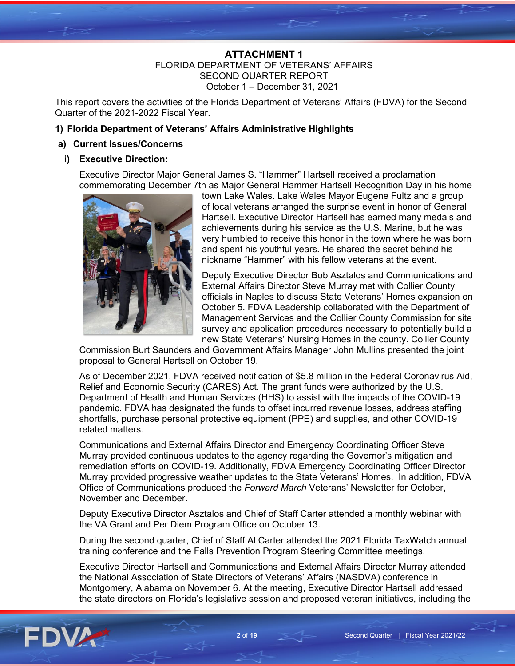# **ATTACHMENT 1** FLORIDA DEPARTMENT OF VETERANS' AFFAIRS SECOND QUARTER REPORT October 1 – December 31, 2021

This report covers the activities of the Florida Department of Veterans' Affairs (FDVA) for the Second Quarter of the 2021-2022 Fiscal Year.

# **1) Florida Department of Veterans' Affairs Administrative Highlights**

# **a) Current Issues/Concerns**

# **i) Executive Direction:**

Executive Director Major General James S. "Hammer" Hartsell received a proclamation commemorating December 7th as Major General Hammer Hartsell Recognition Day in his home



town Lake Wales. Lake Wales Mayor Eugene Fultz and a group of local veterans arranged the surprise event in honor of General Hartsell. Executive Director Hartsell has earned many medals and achievements during his service as the U.S. Marine, but he was very humbled to receive this honor in the town where he was born and spent his youthful years. He shared the secret behind his nickname "Hammer" with his fellow veterans at the event.

Deputy Executive Director Bob Asztalos and Communications and External Affairs Director Steve Murray met with Collier County officials in Naples to discuss State Veterans' Homes expansion on October 5. FDVA Leadership collaborated with the Department of Management Services and the Collier County Commission for site survey and application procedures necessary to potentially build a new State Veterans' Nursing Homes in the county. Collier County

Commission Burt Saunders and Government Affairs Manager John Mullins presented the joint proposal to General Hartsell on October 19.

As of December 2021, FDVA received notification of \$5.8 million in the Federal Coronavirus Aid, Relief and Economic Security (CARES) Act. The grant funds were authorized by the U.S. Department of Health and Human Services (HHS) to assist with the impacts of the COVID-19 pandemic. FDVA has designated the funds to offset incurred revenue losses, address staffing shortfalls, purchase personal protective equipment (PPE) and supplies, and other COVID-19 related matters.

Communications and External Affairs Director and Emergency Coordinating Officer Steve Murray provided continuous updates to the agency regarding the Governor's mitigation and remediation efforts on COVID-19. Additionally, FDVA Emergency Coordinating Officer Director Murray provided progressive weather updates to the State Veterans' Homes. In addition, FDVA Office of Communications produced the *Forward March* Veterans' Newsletter for October, November and December.

Deputy Executive Director Asztalos and Chief of Staff Carter attended a monthly webinar with the VA Grant and Per Diem Program Office on October 13.

During the second quarter, Chief of Staff Al Carter attended the 2021 Florida TaxWatch annual training conference and the Falls Prevention Program Steering Committee meetings.

Executive Director Hartsell and Communications and External Affairs Director Murray attended the National Association of State Directors of Veterans' Affairs (NASDVA) conference in Montgomery, Alabama on November 6. At the meeting, Executive Director Hartsell addressed the state directors on Florida's legislative session and proposed veteran initiatives, including the

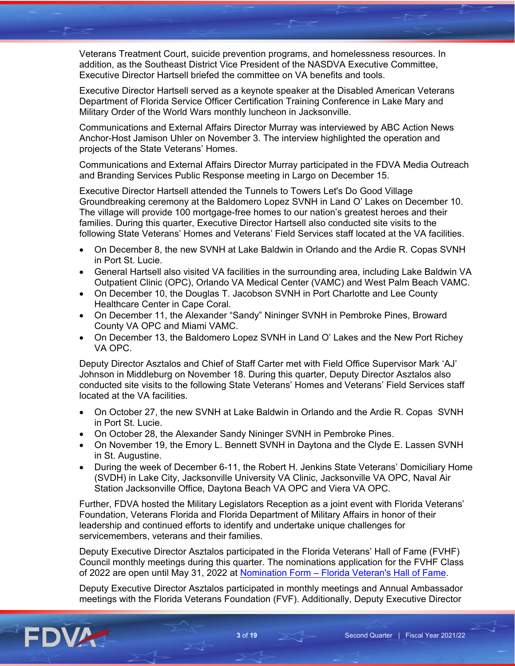Veterans Treatment Court, suicide prevention programs, and homelessness resources. In addition, as the Southeast District Vice President of the NASDVA Executive Committee, Executive Director Hartsell briefed the committee on VA benefits and tools.

Executive Director Hartsell served as a keynote speaker at the Disabled American Veterans Department of Florida Service Officer Certification Training Conference in Lake Mary and Military Order of the World Wars monthly luncheon in Jacksonville.

Communications and External Affairs Director Murray was interviewed by ABC Action News Anchor-Host Jamison Uhler on November 3. The interview highlighted the operation and projects of the State Veterans' Homes.

Communications and External Affairs Director Murray participated in the FDVA Media Outreach and Branding Services Public Response meeting in Largo on December 15.

Executive Director Hartsell attended the Tunnels to Towers Let's Do Good Village Groundbreaking ceremony at the Baldomero Lopez SVNH in Land O' Lakes on December 10. The village will provide 100 mortgage-free homes to our nation's greatest heroes and their families. During this quarter, Executive Director Hartsell also conducted site visits to the following State Veterans' Homes and Veterans' Field Services staff located at the VA facilities.

- On December 8, the new SVNH at Lake Baldwin in Orlando and the Ardie R. Copas SVNH in Port St. Lucie.
- General Hartsell also visited VA facilities in the surrounding area, including Lake Baldwin VA Outpatient Clinic (OPC), Orlando VA Medical Center (VAMC) and West Palm Beach VAMC.
- On December 10, the Douglas T. Jacobson SVNH in Port Charlotte and Lee County Healthcare Center in Cape Coral.
- On December 11, the Alexander "Sandy" Nininger SVNH in Pembroke Pines, Broward County VA OPC and Miami VAMC.
- On December 13, the Baldomero Lopez SVNH in Land O' Lakes and the New Port Richey VA OPC.

Deputy Director Asztalos and Chief of Staff Carter met with Field Office Supervisor Mark 'AJ' Johnson in Middleburg on November 18. During this quarter, Deputy Director Asztalos also conducted site visits to the following State Veterans' Homes and Veterans' Field Services staff located at the VA facilities.

- On October 27, the new SVNH at Lake Baldwin in Orlando and the Ardie R. Copas SVNH in Port St. Lucie.
- On October 28, the Alexander Sandy Nininger SVNH in Pembroke Pines.
- On November 19, the Emory L. Bennett SVNH in Daytona and the Clyde E. Lassen SVNH in St. Augustine.
- During the week of December 6-11, the Robert H. Jenkins State Veterans' Domiciliary Home (SVDH) in Lake City, Jacksonville University VA Clinic, Jacksonville VA OPC, Naval Air Station Jacksonville Office, Daytona Beach VA OPC and Viera VA OPC.

Further, FDVA hosted the Military Legislators Reception as a joint event with Florida Veterans' Foundation, Veterans Florida and Florida Department of Military Affairs in honor of their leadership and continued efforts to identify and undertake unique challenges for servicemembers, veterans and their families.

Deputy Executive Director Asztalos participated in the Florida Veterans' Hall of Fame (FVHF) Council monthly meetings during this quarter. The nominations application for the FVHF Class of 2022 are open until May 31, 2022 at Nomination Form - [Florida Veteran's Hall of Fame.](https://floridaveteranshalloffame.org/nomination-form/)

Deputy Executive Director Asztalos participated in monthly meetings and Annual Ambassador meetings with the Florida Veterans Foundation (FVF). Additionally, Deputy Executive Director

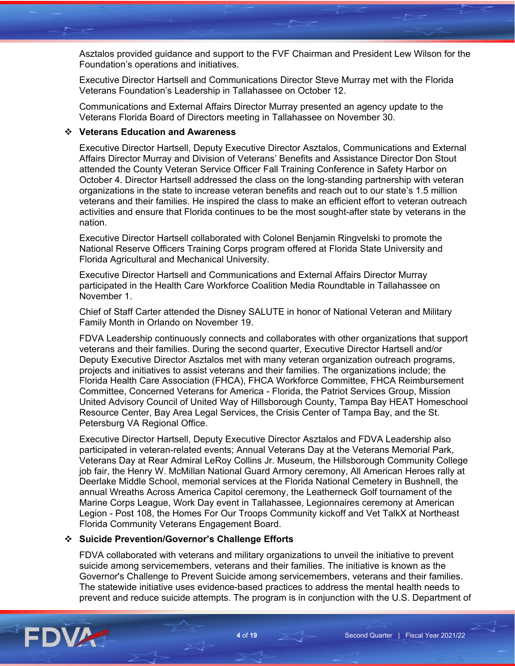Asztalos provided guidance and support to the FVF Chairman and President Lew Wilson for the Foundation's operations and initiatives.

Executive Director Hartsell and Communications Director Steve Murray met with the Florida Veterans Foundation's Leadership in Tallahassee on October 12.

Communications and External Affairs Director Murray presented an agency update to the Veterans Florida Board of Directors meeting in Tallahassee on November 30.

#### **Veterans Education and Awareness**

Executive Director Hartsell, Deputy Executive Director Asztalos, Communications and External Affairs Director Murray and Division of Veterans' Benefits and Assistance Director Don Stout attended the County Veteran Service Officer Fall Training Conference in Safety Harbor on October 4. Director Hartsell addressed the class on the long-standing partnership with veteran organizations in the state to increase veteran benefits and reach out to our state's 1.5 million veterans and their families. He inspired the class to make an efficient effort to veteran outreach activities and ensure that Florida continues to be the most sought-after state by veterans in the nation.

Executive Director Hartsell collaborated with Colonel Benjamin Ringvelski to promote the National Reserve Officers Training Corps program offered at Florida State University and Florida Agricultural and Mechanical University.

Executive Director Hartsell and Communications and External Affairs Director Murray participated in the Health Care Workforce Coalition Media Roundtable in Tallahassee on November 1.

Chief of Staff Carter attended the Disney SALUTE in honor of National Veteran and Military Family Month in Orlando on November 19.

FDVA Leadership continuously connects and collaborates with other organizations that support veterans and their families. During the second quarter, Executive Director Hartsell and/or Deputy Executive Director Asztalos met with many veteran organization outreach programs, projects and initiatives to assist veterans and their families. The organizations include; the Florida Health Care Association (FHCA), FHCA Workforce Committee, FHCA Reimbursement Committee, Concerned Veterans for America - Florida, the Patriot Services Group, Mission United Advisory Council of United Way of Hillsborough County, Tampa Bay HEAT Homeschool Resource Center, Bay Area Legal Services, the Crisis Center of Tampa Bay, and the St. Petersburg VA Regional Office.

Executive Director Hartsell, Deputy Executive Director Asztalos and FDVA Leadership also participated in veteran-related events; Annual Veterans Day at the Veterans Memorial Park, Veterans Day at Rear Admiral LeRoy Collins Jr. Museum, the Hillsborough Community College job fair, the Henry W. McMillan National Guard Armory ceremony, All American Heroes rally at Deerlake Middle School, memorial services at the Florida National Cemetery in Bushnell, the annual Wreaths Across America Capitol ceremony, the Leatherneck Golf tournament of the Marine Corps League, Work Day event in Tallahassee, Legionnaires ceremony at American Legion - Post 108, the Homes For Our Troops Community kickoff and Vet TalkX at Northeast Florida Community Veterans Engagement Board.

# **Suicide Prevention/Governor's Challenge Efforts**

FDVA collaborated with veterans and military organizations to unveil the initiative to prevent suicide among servicemembers, veterans and their families. The initiative is known as the Governor's Challenge to Prevent Suicide among servicemembers, veterans and their families. The statewide initiative uses evidence-based practices to address the mental health needs to prevent and reduce suicide attempts. The program is in conjunction with the U.S. Department of

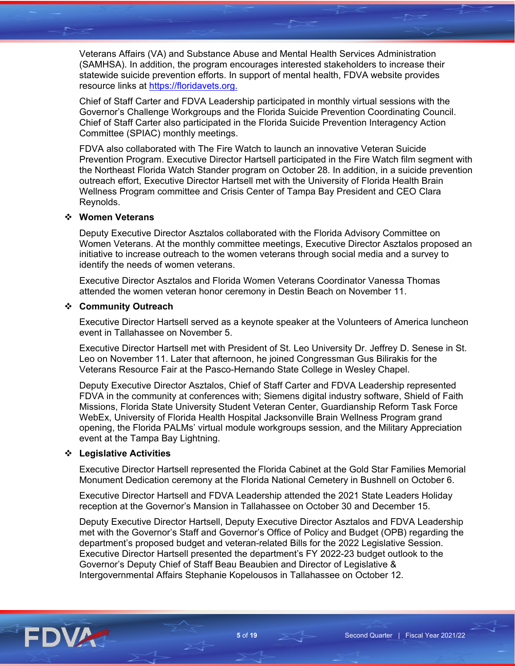Veterans Affairs (VA) and Substance Abuse and Mental Health Services Administration (SAMHSA). In addition, the program encourages interested stakeholders to increase their statewide suicide prevention efforts. In support of mental health, FDVA website provides resource links at [https://floridavets.org.](https://floridavets.org./)

Chief of Staff Carter and FDVA Leadership participated in monthly virtual sessions with the Governor's Challenge Workgroups and the Florida Suicide Prevention Coordinating Council. Chief of Staff Carter also participated in the Florida Suicide Prevention Interagency Action Committee (SPIAC) monthly meetings.

FDVA also collaborated with The Fire Watch to launch an innovative Veteran Suicide Prevention Program. Executive Director Hartsell participated in the Fire Watch film segment with the Northeast Florida Watch Stander program on October 28. In addition, in a suicide prevention outreach effort, Executive Director Hartsell met with the University of Florida Health Brain Wellness Program committee and Crisis Center of Tampa Bay President and CEO Clara Reynolds.

#### **Women Veterans**

Deputy Executive Director Asztalos collaborated with the Florida Advisory Committee on Women Veterans. At the monthly committee meetings, Executive Director Asztalos proposed an initiative to increase outreach to the women veterans through social media and a survey to identify the needs of women veterans.

Executive Director Asztalos and Florida Women Veterans Coordinator Vanessa Thomas attended the women veteran honor ceremony in Destin Beach on November 11.

#### **Community Outreach**

Executive Director Hartsell served as a keynote speaker at the Volunteers of America luncheon event in Tallahassee on November 5.

Executive Director Hartsell met with President of St. Leo University Dr. Jeffrey D. Senese in St. Leo on November 11. Later that afternoon, he joined Congressman Gus Bilirakis for the Veterans Resource Fair at the Pasco-Hernando State College in Wesley Chapel.

Deputy Executive Director Asztalos, Chief of Staff Carter and FDVA Leadership represented FDVA in the community at conferences with; Siemens digital industry software, Shield of Faith Missions, Florida State University Student Veteran Center, Guardianship Reform Task Force WebEx, University of Florida Health Hospital Jacksonville Brain Wellness Program grand opening, the Florida PALMs' virtual module workgroups session, and the Military Appreciation event at the Tampa Bay Lightning.

#### **Legislative Activities**

Executive Director Hartsell represented the Florida Cabinet at the Gold Star Families Memorial Monument Dedication ceremony at the Florida National Cemetery in Bushnell on October 6.

Executive Director Hartsell and FDVA Leadership attended the 2021 State Leaders Holiday reception at the Governor's Mansion in Tallahassee on October 30 and December 15.

Deputy Executive Director Hartsell, Deputy Executive Director Asztalos and FDVA Leadership met with the Governor's Staff and Governor's Office of Policy and Budget (OPB) regarding the department's proposed budget and veteran-related Bills for the 2022 Legislative Session. Executive Director Hartsell presented the department's FY 2022-23 budget outlook to the Governor's Deputy Chief of Staff Beau Beaubien and Director of Legislative & Intergovernmental Affairs Stephanie Kopelousos in Tallahassee on October 12.

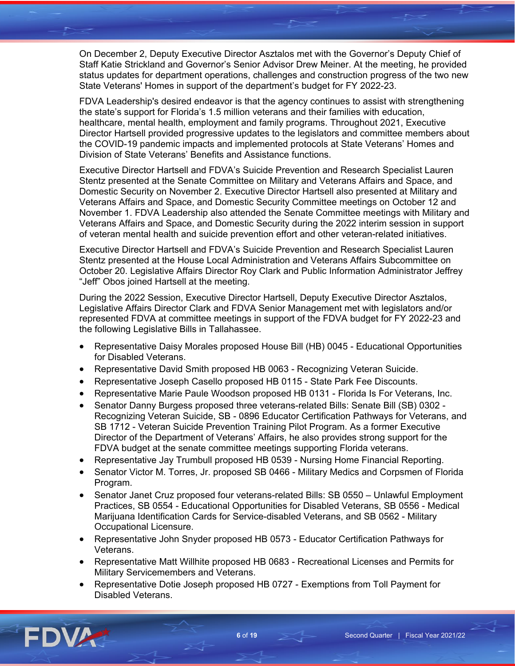On December 2, Deputy Executive Director Asztalos met with the Governor's Deputy Chief of Staff Katie Strickland and Governor's Senior Advisor Drew Meiner. At the meeting, he provided status updates for department operations, challenges and construction progress of the two new State Veterans' Homes in support of the department's budget for FY 2022-23.

FDVA Leadership's desired endeavor is that the agency continues to assist with strengthening the state's support for Florida's 1.5 million veterans and their families with education, healthcare, mental health, employment and family programs. Throughout 2021, Executive Director Hartsell provided progressive updates to the legislators and committee members about the COVID-19 pandemic impacts and implemented protocols at State Veterans' Homes and Division of State Veterans' Benefits and Assistance functions.

Executive Director Hartsell and FDVA's Suicide Prevention and Research Specialist Lauren Stentz presented at the Senate Committee on Military and Veterans Affairs and Space, and Domestic Security on November 2. Executive Director Hartsell also presented at Military and Veterans Affairs and Space, and Domestic Security Committee meetings on October 12 and November 1. FDVA Leadership also attended the Senate Committee meetings with Military and Veterans Affairs and Space, and Domestic Security during the 2022 interim session in support of veteran mental health and suicide prevention effort and other veteran-related initiatives.

Executive Director Hartsell and FDVA's Suicide Prevention and Research Specialist Lauren Stentz presented at the House Local Administration and Veterans Affairs Subcommittee on October 20. Legislative Affairs Director Roy Clark and Public Information Administrator Jeffrey "Jeff" Obos joined Hartsell at the meeting.

During the 2022 Session, Executive Director Hartsell, Deputy Executive Director Asztalos, Legislative Affairs Director Clark and FDVA Senior Management met with legislators and/or represented FDVA at committee meetings in support of the FDVA budget for FY 2022-23 and the following Legislative Bills in Tallahassee.

- Representative Daisy Morales proposed House Bill (HB) 0045 Educational Opportunities for Disabled Veterans.
- Representative David Smith proposed HB 0063 Recognizing Veteran Suicide.
- Representative Joseph Casello proposed HB 0115 State Park Fee Discounts.
- Representative Marie Paule Woodson proposed HB 0131 Florida Is For Veterans, Inc.
- Senator Danny Burgess proposed three veterans-related Bills: Senate Bill (SB) 0302 -Recognizing Veteran Suicide, SB - 0896 Educator Certification Pathways for Veterans, and SB 1712 - Veteran Suicide Prevention Training Pilot Program. As a former Executive Director of the Department of Veterans' Affairs, he also provides strong support for the FDVA budget at the senate committee meetings supporting Florida veterans.
- Representative Jay Trumbull proposed HB 0539 Nursing Home Financial Reporting.
- Senator Victor M. Torres, Jr. proposed SB 0466 Military Medics and Corpsmen of Florida Program.
- Senator Janet Cruz proposed four veterans-related Bills: SB 0550 Unlawful Employment Practices, SB 0554 - Educational Opportunities for Disabled Veterans, SB 0556 - Medical Marijuana Identification Cards for Service-disabled Veterans, and SB 0562 - Military Occupational Licensure.
- Representative John Snyder proposed HB 0573 Educator Certification Pathways for Veterans.
- Representative Matt Willhite proposed HB 0683 Recreational Licenses and Permits for Military Servicemembers and Veterans.
- Representative Dotie Joseph proposed HB 0727 Exemptions from Toll Payment for Disabled Veterans.

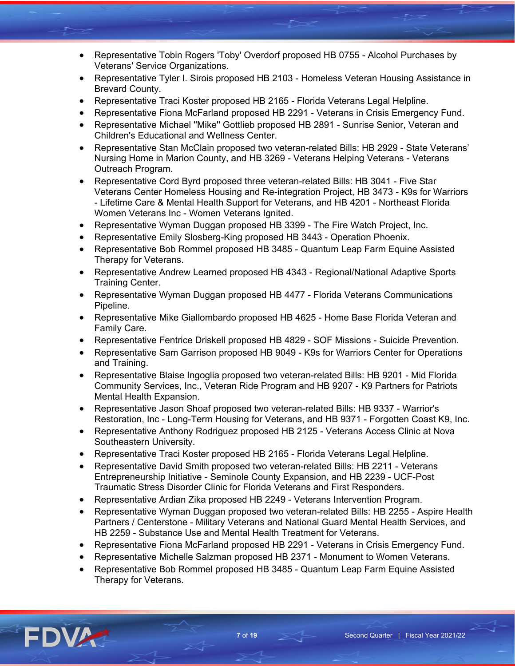- Representative Tobin Rogers 'Toby' Overdorf proposed HB 0755 Alcohol Purchases by Veterans' Service Organizations.
- Representative Tyler I. Sirois proposed HB 2103 Homeless Veteran Housing Assistance in Brevard County.
- Representative Traci Koster proposed HB 2165 Florida Veterans Legal Helpline.
- Representative Fiona McFarland proposed HB 2291 Veterans in Crisis Emergency Fund.
- Representative Michael ''Mike'' Gottlieb proposed HB 2891 Sunrise Senior, Veteran and Children's Educational and Wellness Center.
- Representative Stan McClain proposed two veteran-related Bills: HB 2929 State Veterans' Nursing Home in Marion County, and HB 3269 - Veterans Helping Veterans - Veterans Outreach Program.
- Representative Cord Byrd proposed three veteran-related Bills: HB 3041 Five Star Veterans Center Homeless Housing and Re-integration Project, HB 3473 - K9s for Warriors - Lifetime Care & Mental Health Support for Veterans, and HB 4201 - Northeast Florida Women Veterans Inc - Women Veterans Ignited.
- Representative Wyman Duggan proposed HB 3399 The Fire Watch Project, Inc.
- Representative Emily Slosberg-King proposed HB 3443 Operation Phoenix.
- Representative Bob Rommel proposed HB 3485 Quantum Leap Farm Equine Assisted Therapy for Veterans.
- Representative Andrew Learned proposed HB 4343 Regional/National Adaptive Sports Training Center.
- Representative Wyman Duggan proposed HB 4477 Florida Veterans Communications Pipeline.
- Representative Mike Giallombardo proposed HB 4625 Home Base Florida Veteran and Family Care.
- Representative Fentrice Driskell proposed HB 4829 SOF Missions Suicide Prevention.
- Representative Sam Garrison proposed HB 9049 K9s for Warriors Center for Operations and Training.
- Representative Blaise Ingoglia proposed two veteran-related Bills: HB 9201 Mid Florida Community Services, Inc., Veteran Ride Program and HB 9207 - K9 Partners for Patriots Mental Health Expansion.
- Representative Jason Shoaf proposed two veteran-related Bills: HB 9337 Warrior's Restoration, Inc - Long-Term Housing for Veterans, and HB 9371 - Forgotten Coast K9, Inc.
- Representative Anthony Rodriguez proposed HB 2125 Veterans Access Clinic at Nova Southeastern University.
- Representative Traci Koster proposed HB 2165 Florida Veterans Legal Helpline.
- Representative David Smith proposed two veteran-related Bills: HB 2211 Veterans Entrepreneurship Initiative - Seminole County Expansion, and HB 2239 - UCF-Post Traumatic Stress Disorder Clinic for Florida Veterans and First Responders.
- Representative Ardian Zika proposed HB 2249 Veterans Intervention Program.
- Representative Wyman Duggan proposed two veteran-related Bills: HB 2255 Aspire Health Partners / Centerstone - Military Veterans and National Guard Mental Health Services, and HB 2259 - Substance Use and Mental Health Treatment for Veterans.
- Representative Fiona McFarland proposed HB 2291 Veterans in Crisis Emergency Fund.
- Representative Michelle Salzman proposed HB 2371 Monument to Women Veterans.
- Representative Bob Rommel proposed HB 3485 Quantum Leap Farm Equine Assisted Therapy for Veterans.

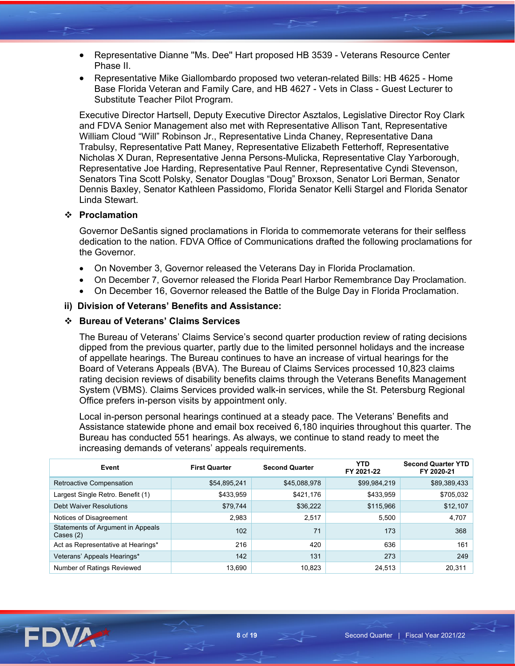- Representative Dianne ''Ms. Dee'' Hart proposed HB 3539 Veterans Resource Center Phase II.
- Representative Mike Giallombardo proposed two veteran-related Bills: HB 4625 Home Base Florida Veteran and Family Care, and HB 4627 - Vets in Class - Guest Lecturer to Substitute Teacher Pilot Program.

Executive Director Hartsell, Deputy Executive Director Asztalos, Legislative Director Roy Clark and FDVA Senior Management also met with Representative Allison Tant, Representative William Cloud "Will" Robinson Jr., Representative Linda Chaney, Representative Dana Trabulsy, Representative Patt Maney, Representative Elizabeth Fetterhoff, Representative Nicholas X Duran, Representative Jenna Persons-Mulicka, Representative Clay Yarborough, Representative Joe Harding, Representative Paul Renner, Representative Cyndi Stevenson, Senators Tina Scott Polsky, Senator Douglas "Doug" Broxson, Senator Lori Berman, Senator Dennis Baxley, Senator Kathleen Passidomo, Florida Senator Kelli Stargel and Florida Senator Linda Stewart.

#### **Proclamation**

Governor DeSantis signed proclamations in Florida to commemorate veterans for their selfless dedication to the nation. FDVA Office of Communications drafted the following proclamations for the Governor.

- On November 3, Governor released the Veterans Day in Florida Proclamation.
- On December 7, Governor released the Florida Pearl Harbor Remembrance Day Proclamation.
- On December 16, Governor released the Battle of the Bulge Day in Florida Proclamation.

#### **ii) Division of Veterans' Benefits and Assistance:**

#### **Bureau of Veterans' Claims Services**

The Bureau of Veterans' Claims Service's second quarter production review of rating decisions dipped from the previous quarter, partly due to the limited personnel holidays and the increase of appellate hearings. The Bureau continues to have an increase of virtual hearings for the Board of Veterans Appeals (BVA). The Bureau of Claims Services processed 10,823 claims rating decision reviews of disability benefits claims through the Veterans Benefits Management System (VBMS). Claims Services provided walk-in services, while the St. Petersburg Regional Office prefers in-person visits by appointment only.

Local in-person personal hearings continued at a steady pace. The Veterans' Benefits and Assistance statewide phone and email box received 6,180 inquiries throughout this quarter. The Bureau has conducted 551 hearings. As always, we continue to stand ready to meet the increasing demands of veterans' appeals requirements.

| Event                                                   | <b>First Quarter</b> | <b>Second Quarter</b> | YTD<br>FY 2021-22 | <b>Second Quarter YTD</b><br>FY 2020-21 |
|---------------------------------------------------------|----------------------|-----------------------|-------------------|-----------------------------------------|
| Retroactive Compensation                                | \$54,895,241         | \$45,088,978          | \$99,984,219      | \$89,389,433                            |
| Largest Single Retro. Benefit (1)                       | \$433,959            | \$421,176             | \$433,959         | \$705,032                               |
| <b>Debt Waiver Resolutions</b>                          | \$79,744             | \$36,222              | \$115,966         | \$12,107                                |
| Notices of Disagreement                                 | 2.983                | 2,517                 | 5.500             | 4,707                                   |
| Statements of Argument in Appeals<br>$\text{Cases} (2)$ | 102                  | 71                    | 173               | 368                                     |
| Act as Representative at Hearings*                      | 216                  | 420                   | 636               | 161                                     |
| Veterans' Appeals Hearings*                             | 142                  | 131                   | 273               | 249                                     |
| Number of Ratings Reviewed                              | 13.690               | 10,823                | 24,513            | 20.311                                  |

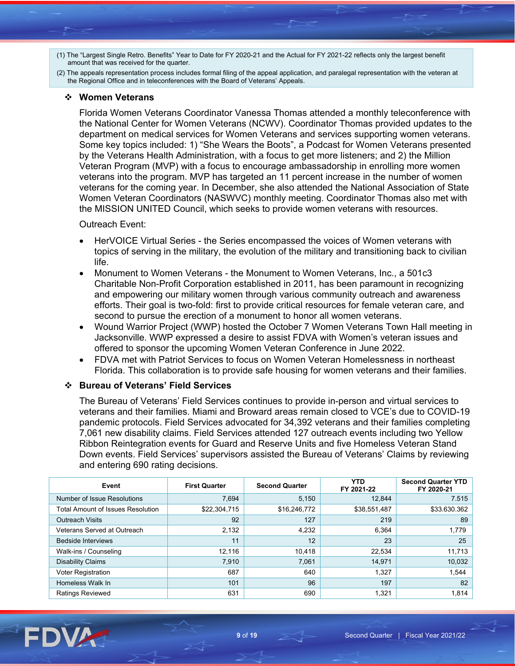- (1) The "Largest Single Retro. Benefits" Year to Date for FY 2020-21 and the Actual for FY 2021-22 reflects only the largest benefit amount that was received for the quarter.
- (2) The appeals representation process includes formal filing of the appeal application, and paralegal representation with the veteran at the Regional Office and in teleconferences with the Board of Veterans' Appeals.

#### **Women Veterans**

Florida Women Veterans Coordinator Vanessa Thomas attended a monthly teleconference with the National Center for Women Veterans (NCWV). Coordinator Thomas provided updates to the department on medical services for Women Veterans and services supporting women veterans. Some key topics included: 1) "She Wears the Boots", a Podcast for Women Veterans presented by the Veterans Health Administration, with a focus to get more listeners; and 2) the Million Veteran Program (MVP) with a focus to encourage ambassadorship in enrolling more women veterans into the program. MVP has targeted an 11 percent increase in the number of women veterans for the coming year. In December, she also attended the National Association of State Women Veteran Coordinators (NASWVC) monthly meeting. Coordinator Thomas also met with the MISSION UNITED Council, which seeks to provide women veterans with resources.

#### Outreach Event:

- HerVOICE Virtual Series the Series encompassed the voices of Women veterans with topics of serving in the military, the evolution of the military and transitioning back to civilian life.
- Monument to Women Veterans the Monument to Women Veterans, Inc., a 501c3 Charitable Non-Profit Corporation established in 2011, has been paramount in recognizing and empowering our military women through various community outreach and awareness efforts. Their goal is two-fold: first to provide critical resources for female veteran care, and second to pursue the erection of a monument to honor all women veterans.
- Wound Warrior Project (WWP) hosted the October 7 Women Veterans Town Hall meeting in Jacksonville. WWP expressed a desire to assist FDVA with Women's veteran issues and offered to sponsor the upcoming Women Veteran Conference in June 2022.
- FDVA met with Patriot Services to focus on Women Veteran Homelessness in northeast Florida. This collaboration is to provide safe housing for women veterans and their families.

#### **Bureau of Veterans' Field Services**

The Bureau of Veterans' Field Services continues to provide in-person and virtual services to veterans and their families. Miami and Broward areas remain closed to VCE's due to COVID-19 pandemic protocols. Field Services advocated for 34,392 veterans and their families completing 7,061 new disability claims. Field Services attended 127 outreach events including two Yellow Ribbon Reintegration events for Guard and Reserve Units and five Homeless Veteran Stand Down events. Field Services' supervisors assisted the Bureau of Veterans' Claims by reviewing and entering 690 rating decisions.

| Event                             | <b>First Quarter</b> | <b>Second Quarter</b> | YTD<br>FY 2021-22 | <b>Second Quarter YTD</b><br>FY 2020-21 |
|-----------------------------------|----------------------|-----------------------|-------------------|-----------------------------------------|
| Number of Issue Resolutions       | 7.694                | 5,150                 | 12.844            | 7.515                                   |
| Total Amount of Issues Resolution | \$22,304,715         | \$16,246,772          | \$38,551,487      | \$33.630.362                            |
| <b>Outreach Visits</b>            | 92                   | 127                   | 219               | 89                                      |
| Veterans Served at Outreach       | 2,132                | 4,232                 | 6,364             | 1.779                                   |
| <b>Bedside Interviews</b>         | 11                   | 12                    | 23                | 25                                      |
| Walk-ins / Counseling             | 12,116               | 10,418                | 22,534            | 11.713                                  |
| <b>Disability Claims</b>          | 7,910                | 7,061                 | 14,971            | 10,032                                  |
| Voter Registration                | 687                  | 640                   | 1,327             | 1,544                                   |
| Homeless Walk In                  | 101                  | 96                    | 197               | 82                                      |
| <b>Ratings Reviewed</b>           | 631                  | 690                   | 1,321             | 1.814                                   |

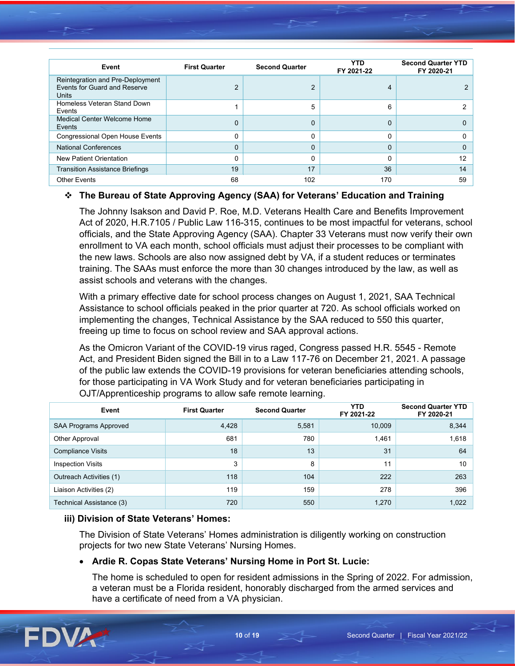| Event                                                                     | <b>First Quarter</b> | <b>Second Quarter</b> | <b>YTD</b><br>FY 2021-22 | <b>Second Quarter YTD</b><br>FY 2020-21 |
|---------------------------------------------------------------------------|----------------------|-----------------------|--------------------------|-----------------------------------------|
| Reintegration and Pre-Deployment<br>Events for Guard and Reserve<br>Units | C                    | 2                     | 4                        |                                         |
| Homeless Veteran Stand Down<br>Events                                     |                      | 5                     | 6                        |                                         |
| Medical Center Welcome Home<br>Events                                     | $\Omega$             | 0                     | 0                        |                                         |
| <b>Congressional Open House Events</b>                                    | 0                    | 0                     | 0                        |                                         |
| <b>National Conferences</b>                                               | 0                    | 0                     | 0                        | 0                                       |
| New Patient Orientation                                                   | 0                    | 0                     | 0                        | 12                                      |
| <b>Transition Assistance Briefings</b>                                    | 19                   | 17                    | 36                       | 14                                      |
| <b>Other Events</b>                                                       | 68                   | 102                   | 170                      | 59                                      |

# **The Bureau of State Approving Agency (SAA) for Veterans' Education and Training**

The Johnny Isakson and David P. Roe, M.D. Veterans Health Care and Benefits Improvement Act of 2020, H.R.7105 / Public Law 116-315, continues to be most impactful for veterans, school officials, and the State Approving Agency (SAA). Chapter 33 Veterans must now verify their own enrollment to VA each month, school officials must adjust their processes to be compliant with the new laws. Schools are also now assigned debt by VA, if a student reduces or terminates training. The SAAs must enforce the more than 30 changes introduced by the law, as well as assist schools and veterans with the changes.

With a primary effective date for school process changes on August 1, 2021, SAA Technical Assistance to school officials peaked in the prior quarter at 720. As school officials worked on implementing the changes, Technical Assistance by the SAA reduced to 550 this quarter, freeing up time to focus on school review and SAA approval actions.

As the Omicron Variant of the COVID-19 virus raged, Congress passed H.R. 5545 - Remote Act, and President Biden signed the Bill in to a Law 117-76 on December 21, 2021. A passage of the public law extends the COVID-19 provisions for veteran beneficiaries attending schools, for those participating in VA Work Study and for veteran beneficiaries participating in OJT/Apprenticeship programs to allow safe remote learning.

| Event                        | <b>First Quarter</b> | <b>Second Quarter</b> | <b>YTD</b><br>FY 2021-22 | <b>Second Quarter YTD</b><br>FY 2020-21 |
|------------------------------|----------------------|-----------------------|--------------------------|-----------------------------------------|
| <b>SAA Programs Approved</b> | 4,428                | 5,581                 | 10,009                   | 8,344                                   |
| Other Approval               | 681                  | 780                   | 1,461                    | 1,618                                   |
| <b>Compliance Visits</b>     | 18                   | 13                    | 31                       | 64                                      |
| <b>Inspection Visits</b>     | 3                    | 8                     | 11                       | 10                                      |
| Outreach Activities (1)      | 118                  | 104                   | 222                      | 263                                     |
| Liaison Activities (2)       | 119                  | 159                   | 278                      | 396                                     |
| Technical Assistance (3)     | 720                  | 550                   | 1,270                    | 1,022                                   |

# **iii) Division of State Veterans' Homes:**

The Division of State Veterans' Homes administration is diligently working on construction projects for two new State Veterans' Nursing Homes.

# • **Ardie R. Copas State Veterans' Nursing Home in Port St. Lucie:**

The home is scheduled to open for resident admissions in the Spring of 2022. For admission, a veteran must be a Florida resident, honorably discharged from the armed services and have a certificate of need from a VA physician.

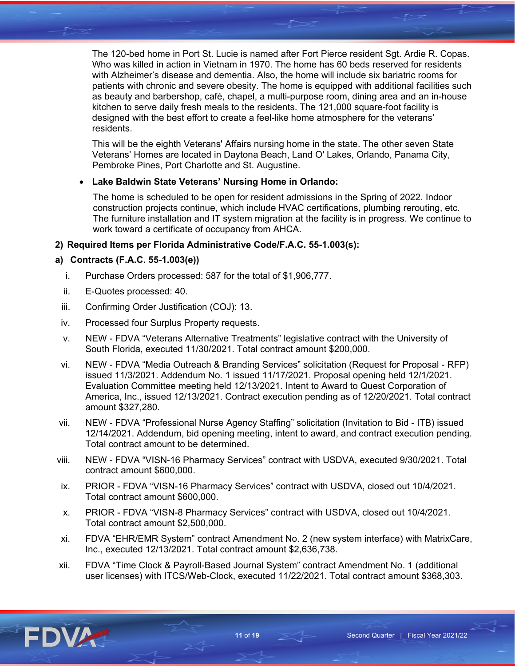The 120-bed home in Port St. Lucie is named after Fort Pierce resident Sgt. Ardie R. Copas. Who was killed in action in Vietnam in 1970. The home has 60 beds reserved for residents with Alzheimer's disease and dementia. Also, the home will include six bariatric rooms for patients with chronic and severe obesity. The home is equipped with additional facilities such as beauty and barbershop, café, chapel, a multi-purpose room, dining area and an in-house kitchen to serve daily fresh meals to the residents. The 121,000 square-foot facility is designed with the best effort to create a feel-like home atmosphere for the veterans' residents.

This will be the eighth Veterans' Affairs nursing home in the state. The other seven State Veterans' Homes are located in Daytona Beach, Land O' Lakes, Orlando, Panama City, Pembroke Pines, Port Charlotte and St. Augustine.

# • **Lake Baldwin State Veterans' Nursing Home in Orlando:**

The home is scheduled to be open for resident admissions in the Spring of 2022. Indoor construction projects continue, which include HVAC certifications, plumbing rerouting, etc. The furniture installation and IT system migration at the facility is in progress. We continue to work toward a certificate of occupancy from AHCA.

# **2) Required Items per Florida Administrative Code/F.A.C. 55-1.003(s):**

# **a) Contracts (F.A.C. 55-1.003(e))**

- i. Purchase Orders processed: 587 for the total of \$1,906,777.
- ii. E-Quotes processed: 40.
- iii. Confirming Order Justification (COJ): 13.
- iv. Processed four Surplus Property requests.
- v. NEW FDVA "Veterans Alternative Treatments" legislative contract with the University of South Florida, executed 11/30/2021. Total contract amount \$200,000.
- vi. NEW FDVA "Media Outreach & Branding Services" solicitation (Request for Proposal RFP) issued 11/3/2021. Addendum No. 1 issued 11/17/2021. Proposal opening held 12/1/2021. Evaluation Committee meeting held 12/13/2021. Intent to Award to Quest Corporation of America, Inc., issued 12/13/2021. Contract execution pending as of 12/20/2021. Total contract amount \$327,280.
- vii. NEW FDVA "Professional Nurse Agency Staffing" solicitation (Invitation to Bid ITB) issued 12/14/2021. Addendum, bid opening meeting, intent to award, and contract execution pending. Total contract amount to be determined.
- viii. NEW FDVA "VISN-16 Pharmacy Services" contract with USDVA, executed 9/30/2021. Total contract amount \$600,000.
- ix. PRIOR FDVA "VISN-16 Pharmacy Services" contract with USDVA, closed out 10/4/2021. Total contract amount \$600,000.
- x. PRIOR FDVA "VISN-8 Pharmacy Services" contract with USDVA, closed out 10/4/2021. Total contract amount \$2,500,000.
- xi. FDVA "EHR/EMR System" contract Amendment No. 2 (new system interface) with MatrixCare, Inc., executed 12/13/2021. Total contract amount \$2,636,738.
- xii. FDVA "Time Clock & Payroll-Based Journal System" contract Amendment No. 1 (additional user licenses) with ITCS/Web-Clock, executed 11/22/2021. Total contract amount \$368,303.

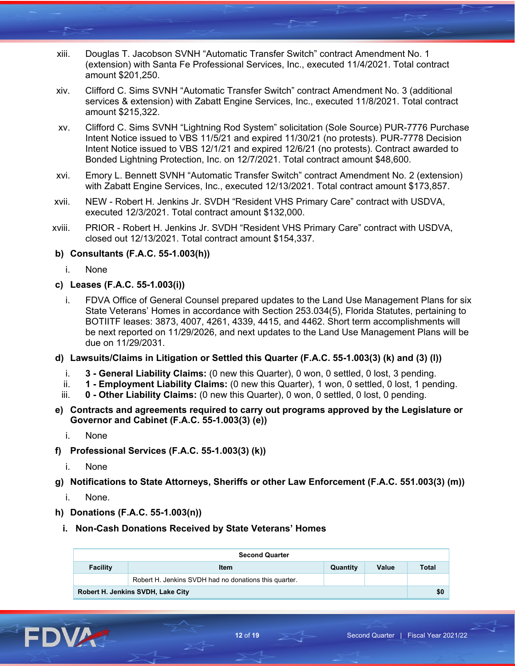- xiii. Douglas T. Jacobson SVNH "Automatic Transfer Switch" contract Amendment No. 1 (extension) with Santa Fe Professional Services, Inc., executed 11/4/2021. Total contract amount \$201,250.
- xiv. Clifford C. Sims SVNH "Automatic Transfer Switch" contract Amendment No. 3 (additional services & extension) with Zabatt Engine Services, Inc., executed 11/8/2021. Total contract amount \$215,322.
- xv. Clifford C. Sims SVNH "Lightning Rod System" solicitation (Sole Source) PUR-7776 Purchase Intent Notice issued to VBS 11/5/21 and expired 11/30/21 (no protests). PUR-7778 Decision Intent Notice issued to VBS 12/1/21 and expired 12/6/21 (no protests). Contract awarded to Bonded Lightning Protection, Inc. on 12/7/2021. Total contract amount \$48,600.
- xvi. Emory L. Bennett SVNH "Automatic Transfer Switch" contract Amendment No. 2 (extension) with Zabatt Engine Services, Inc., executed 12/13/2021. Total contract amount \$173,857.
- xvii. NEW Robert H. Jenkins Jr. SVDH "Resident VHS Primary Care" contract with USDVA, executed 12/3/2021. Total contract amount \$132,000.
- xviii. PRIOR Robert H. Jenkins Jr. SVDH "Resident VHS Primary Care" contract with USDVA, closed out 12/13/2021. Total contract amount \$154,337.

# **b) Consultants (F.A.C. 55-1.003(h))**

- i. None
- **c) Leases (F.A.C. 55-1.003(i))**
	- i. FDVA Office of General Counsel prepared updates to the Land Use Management Plans for six State Veterans' Homes in accordance with Section 253.034(5), Florida Statutes, pertaining to BOTIITF leases: 3873, 4007, 4261, 4339, 4415, and 4462. Short term accomplishments will be next reported on 11/29/2026, and next updates to the Land Use Management Plans will be due on 11/29/2031.
- **d) Lawsuits/Claims in Litigation or Settled this Quarter (F.A.C. 55-1.003(3) (k) and (3) (l))**
	- i. **3 - General Liability Claims:** (0 new this Quarter), 0 won, 0 settled, 0 lost, 3 pending.
	- ii. **1 - Employment Liability Claims:** (0 new this Quarter), 1 won, 0 settled, 0 lost, 1 pending.
	- iii. **0 - Other Liability Claims:** (0 new this Quarter), 0 won, 0 settled, 0 lost, 0 pending.
- **e) Contracts and agreements required to carry out programs approved by the Legislature or Governor and Cabinet (F.A.C. 55-1.003(3) (e))**
	- i. None
- **f) Professional Services (F.A.C. 55-1.003(3) (k))**
	- i. None
- **g) Notifications to State Attorneys, Sheriffs or other Law Enforcement (F.A.C. 551.003(3) (m))**
	- i. None.
- **h) Donations (F.A.C. 55-1.003(n))**
	- **i. Non-Cash Donations Received by State Veterans' Homes**

| <b>Second Quarter</b>             |                                                       |          |       |       |  |  |
|-----------------------------------|-------------------------------------------------------|----------|-------|-------|--|--|
| <b>Facility</b>                   | Item                                                  | Quantity | Value | Total |  |  |
|                                   | Robert H. Jenkins SVDH had no donations this quarter. |          |       |       |  |  |
| Robert H. Jenkins SVDH, Lake City |                                                       |          |       |       |  |  |

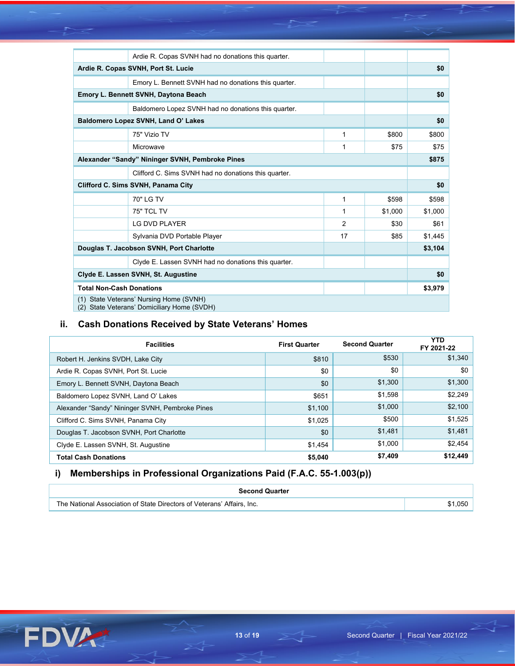|                                                      | Ardie R. Copas SVNH had no donations this quarter.  |    |         |         |  |  |  |
|------------------------------------------------------|-----------------------------------------------------|----|---------|---------|--|--|--|
| Ardie R. Copas SVNH, Port St. Lucie                  |                                                     |    |         |         |  |  |  |
| Emory L. Bennett SVNH had no donations this quarter. |                                                     |    |         |         |  |  |  |
|                                                      | Emory L. Bennett SVNH, Daytona Beach                |    |         |         |  |  |  |
|                                                      | Baldomero Lopez SVNH had no donations this quarter. |    |         |         |  |  |  |
|                                                      | Baldomero Lopez SVNH, Land O' Lakes                 |    |         | \$0     |  |  |  |
|                                                      | 75" Vizio TV                                        | 1  | \$800   | \$800   |  |  |  |
|                                                      | Microwave                                           | 1  | \$75    | \$75    |  |  |  |
| Alexander "Sandy" Nininger SVNH, Pembroke Pines      |                                                     |    |         |         |  |  |  |
| Clifford C. Sims SVNH had no donations this quarter. |                                                     |    |         |         |  |  |  |
| Clifford C. Sims SVNH, Panama City                   |                                                     |    |         |         |  |  |  |
|                                                      |                                                     |    |         | \$0     |  |  |  |
|                                                      | 70" LG TV                                           | 1  | \$598   | \$598   |  |  |  |
|                                                      | 75" TCL TV                                          | 1  | \$1,000 | \$1,000 |  |  |  |
|                                                      | <b>LG DVD PLAYER</b>                                | 2  | \$30    | \$61    |  |  |  |
|                                                      | Sylvania DVD Portable Player                        | 17 | \$85    | \$1,445 |  |  |  |
|                                                      | Douglas T. Jacobson SVNH, Port Charlotte            |    |         | \$3,104 |  |  |  |
|                                                      | Clyde E. Lassen SVNH had no donations this quarter. |    |         |         |  |  |  |
|                                                      | Clyde E. Lassen SVNH, St. Augustine                 |    |         | \$0     |  |  |  |
| <b>Total Non-Cash Donations</b>                      |                                                     |    |         | \$3,979 |  |  |  |

# **ii. Cash Donations Received by State Veterans' Homes**

| <b>Facilities</b>                               | <b>First Quarter</b> | <b>Second Quarter</b> | <b>YTD</b><br>FY 2021-22 |
|-------------------------------------------------|----------------------|-----------------------|--------------------------|
| Robert H. Jenkins SVDH, Lake City               | \$810                | \$530                 | \$1,340                  |
| Ardie R. Copas SVNH, Port St. Lucie             | \$0                  | \$0                   | \$0                      |
| Emory L. Bennett SVNH, Daytona Beach            | \$0                  | \$1,300               | \$1,300                  |
| Baldomero Lopez SVNH, Land O' Lakes             | \$651                | \$1,598               | \$2,249                  |
| Alexander "Sandy" Nininger SVNH, Pembroke Pines | \$1,100              | \$1,000               | \$2,100                  |
| Clifford C. Sims SVNH, Panama City              | \$1,025              | \$500                 | \$1,525                  |
| Douglas T. Jacobson SVNH, Port Charlotte        | \$0                  | \$1,481               | \$1,481                  |
| Clyde E. Lassen SVNH, St. Augustine             | \$1,454              | \$1,000               | \$2,454                  |
| <b>Total Cash Donations</b>                     | \$5,040              | \$7,409               | \$12,449                 |

# **i) Memberships in Professional Organizations Paid (F.A.C. 55-1.003(p))**

| <b>Second Quarter</b>                                                          |  |
|--------------------------------------------------------------------------------|--|
| I Association of State Directors of Veterans' Affairs.<br>The National<br>Inc. |  |

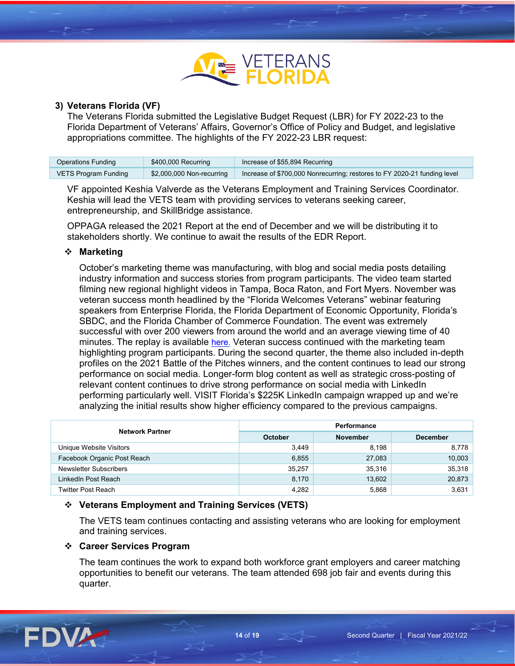

#### **3) Veterans Florida (VF)**

The Veterans Florida submitted the Legislative Budget Request (LBR) for FY 2022-23 to the Florida Department of Veterans' Affairs, Governor's Office of Policy and Budget, and legislative appropriations committee. The highlights of the FY 2022-23 LBR request:

| <b>Operations Funding</b> | \$400,000 Recurring       | Increase of \$55,894 Recurring                                           |
|---------------------------|---------------------------|--------------------------------------------------------------------------|
| VETS Program Funding      | \$2,000,000 Non-recurring | Increase of \$700,000 Nonrecurring; restores to FY 2020-21 funding level |

VF appointed Keshia Valverde as the Veterans Employment and Training Services Coordinator. Keshia will lead the VETS team with providing services to veterans seeking career, entrepreneurship, and SkillBridge assistance.

OPPAGA released the 2021 Report at the end of December and we will be distributing it to stakeholders shortly. We continue to await the results of the EDR Report.

#### **Marketing**

October's marketing theme was manufacturing, with blog and social media posts detailing industry information and success stories from program participants. The video team started filming new regional highlight videos in Tampa, Boca Raton, and Fort Myers. November was veteran success month headlined by the "Florida Welcomes Veterans" webinar featuring speakers from Enterprise Florida, the Florida Department of Economic Opportunity, Florida's SBDC, and the Florida Chamber of Commerce Foundation. The event was extremely successful with over 200 viewers from around the world and an average viewing time of 40 minutes. The replay is available [here.](https://www.youtube.com/supported_browsers?next_url=https%3A%2F%2Fwww.youtube.com%2Fwatch%3Fv%3DE13NB25TT-E) Veteran success continued with the marketing team highlighting program participants. During the second quarter, the theme also included in-depth profiles on the 2021 Battle of the Pitches winners, and the content continues to lead our strong performance on social media. Longer-form blog content as well as strategic cross-posting of relevant content continues to drive strong performance on social media with LinkedIn performing particularly well. VISIT Florida's \$225K LinkedIn campaign wrapped up and we're analyzing the initial results show higher efficiency compared to the previous campaigns.

| <b>Network Partner</b>      | Performance    |                 |                 |  |
|-----------------------------|----------------|-----------------|-----------------|--|
|                             | <b>October</b> | <b>November</b> | <b>December</b> |  |
| Unique Website Visitors     | 3,449          | 8,198           | 8,778           |  |
| Facebook Organic Post Reach | 6,855          | 27,083          | 10,003          |  |
| Newsletter Subscribers      | 35,257         | 35,316          | 35,318          |  |
| LinkedIn Post Reach         | 8,170          | 13,602          | 20,873          |  |
| <b>Twitter Post Reach</b>   | 4,282          | 5,868           | 3,631           |  |

#### **Veterans Employment and Training Services (VETS)**

The VETS team continues contacting and assisting veterans who are looking for employment and training services.

#### **Career Services Program**

The team continues the work to expand both workforce grant employers and career matching opportunities to benefit our veterans. The team attended 698 job fair and events during this quarter.

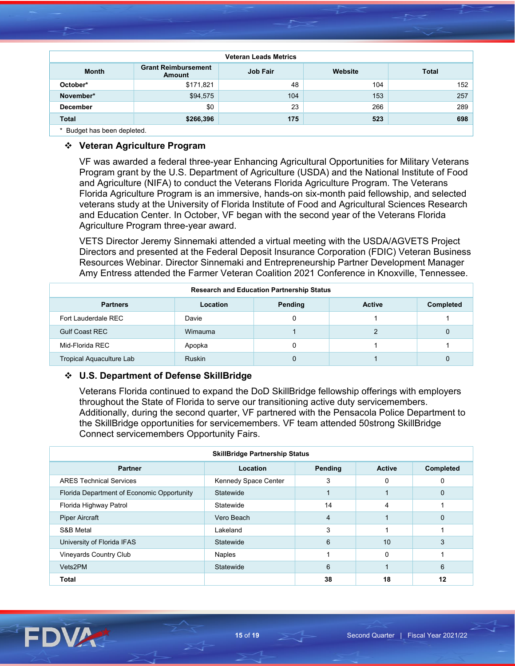| <b>Veteran Leads Metrics</b> |                                      |                 |         |              |  |  |  |
|------------------------------|--------------------------------------|-----------------|---------|--------------|--|--|--|
| <b>Month</b>                 | <b>Grant Reimbursement</b><br>Amount | <b>Job Fair</b> | Website | <b>Total</b> |  |  |  |
| October*                     | \$171,821                            | 48              | 104     | 152          |  |  |  |
| November*                    | \$94,575                             | 104             | 153     | 257          |  |  |  |
| <b>December</b>              | \$0                                  | 23              | 266     | 289          |  |  |  |
| <b>Total</b>                 | \$266,396                            | 175             | 523     | 698          |  |  |  |
| * Rudget has been deploted   |                                      |                 |         |              |  |  |  |

Budget has been depleted

#### **Veteran Agriculture Program**

VF was awarded a federal three-year Enhancing Agricultural Opportunities for Military Veterans Program grant by the U.S. Department of Agriculture (USDA) and the National Institute of Food and Agriculture (NIFA) to conduct the Veterans Florida Agriculture Program. The Veterans Florida Agriculture Program is an immersive, hands-on six-month paid fellowship, and selected veterans study at the University of Florida Institute of Food and Agricultural Sciences Research and Education Center. In October, VF began with the second year of the Veterans Florida Agriculture Program three-year award.

VETS Director Jeremy Sinnemaki attended a virtual meeting with the USDA/AGVETS Project Directors and presented at the Federal Deposit Insurance Corporation (FDIC) Veteran Business Resources Webinar. Director Sinnemaki and Entrepreneurship Partner Development Manager Amy Entress attended the Farmer Veteran Coalition 2021 Conference in Knoxville, Tennessee.

| <b>Research and Education Partnership Status</b> |               |         |               |                  |  |
|--------------------------------------------------|---------------|---------|---------------|------------------|--|
| <b>Partners</b>                                  | Location      | Pending | <b>Active</b> | <b>Completed</b> |  |
| Fort Lauderdale REC                              | Davie         |         |               |                  |  |
| <b>Gulf Coast REC</b>                            | Wimauma       |         | ∩             |                  |  |
| Mid-Florida REC                                  | Apopka        |         |               |                  |  |
| Tropical Aquaculture Lab                         | <b>Ruskin</b> |         |               |                  |  |

#### **U.S. Department of Defense SkillBridge**

Veterans Florida continued to expand the DoD SkillBridge fellowship offerings with employers throughout the State of Florida to serve our transitioning active duty servicemembers. Additionally, during the second quarter, VF partnered with the Pensacola Police Department to the SkillBridge opportunities for servicemembers. VF team attended 50strong SkillBridge Connect servicemembers Opportunity Fairs.

| <b>SkillBridge Partnership Status</b>      |                      |         |               |           |
|--------------------------------------------|----------------------|---------|---------------|-----------|
| <b>Partner</b>                             | Location             | Pending | <b>Active</b> | Completed |
| <b>ARES Technical Services</b>             | Kennedy Space Center |         |               | 0         |
| Florida Department of Economic Opportunity | Statewide            |         |               | 0         |
| Florida Highway Patrol                     | Statewide            | 14      | 4             |           |
| <b>Piper Aircraft</b>                      | Vero Beach           | 4       |               | 0         |
| S&B Metal                                  | Lakeland             | 3       |               |           |
| University of Florida IFAS                 | Statewide            | 6       | 10            |           |
| Vineyards Country Club                     | <b>Naples</b>        |         | 0             |           |
| Vets2PM                                    | Statewide            | 6       |               | 6         |
| Total                                      |                      | 38      | 18            | 12        |

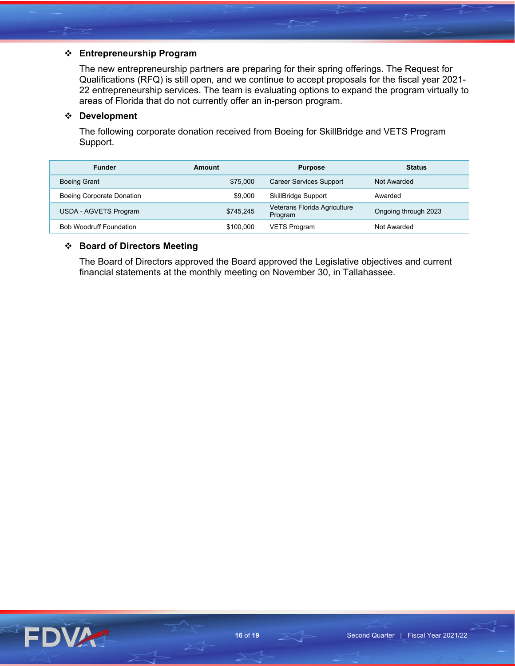# **Entrepreneurship Program**

The new entrepreneurship partners are preparing for their spring offerings. The Request for Qualifications (RFQ) is still open, and we continue to accept proposals for the fiscal year 2021- 22 entrepreneurship services. The team is evaluating options to expand the program virtually to areas of Florida that do not currently offer an in-person program.

# **Development**

The following corporate donation received from Boeing for SkillBridge and VETS Program Support.

| <b>Funder</b>                  | Amount    | <b>Purpose</b>                          | <b>Status</b>        |
|--------------------------------|-----------|-----------------------------------------|----------------------|
| <b>Boeing Grant</b>            | \$75,000  | <b>Career Services Support</b>          | Not Awarded          |
| Boeing Corporate Donation      | \$9,000   | <b>SkillBridge Support</b>              | Awarded              |
| USDA - AGVETS Program          | \$745.245 | Veterans Florida Agriculture<br>Program | Ongoing through 2023 |
| <b>Bob Woodruff Foundation</b> | \$100,000 | <b>VETS Program</b>                     | Not Awarded          |

### **Board of Directors Meeting**

The Board of Directors approved the Board approved the Legislative objectives and current financial statements at the monthly meeting on November 30, in Tallahassee.

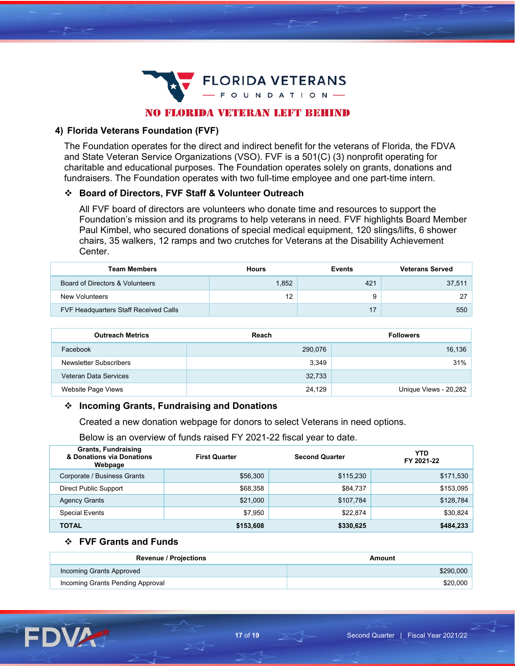

# NO FLORIDA VETERAN LEFT BEHIND

#### **4) Florida Veterans Foundation (FVF)**

The Foundation operates for the direct and indirect benefit for the veterans of Florida, the FDVA and State Veteran Service Organizations (VSO). FVF is a 501(C) (3) nonprofit operating for charitable and educational purposes. The Foundation operates solely on grants, donations and fundraisers. The Foundation operates with two full-time employee and one part-time intern.

#### **Board of Directors, FVF Staff & Volunteer Outreach**

All FVF board of directors are volunteers who donate time and resources to support the Foundation's mission and its programs to help veterans in need. FVF highlights Board Member Paul Kimbel, who secured donations of special medical equipment, 120 slings/lifts, 6 shower chairs, 35 walkers, 12 ramps and two crutches for Veterans at the Disability Achievement Center.

| <b>Team Members</b>                   | <b>Hours</b> | <b>Events</b> | <b>Veterans Served</b> |
|---------------------------------------|--------------|---------------|------------------------|
| Board of Directors & Volunteers       | 1.852        | 421           | 37,511                 |
| New Volunteers                        | 12           |               |                        |
| FVF Headquarters Staff Received Calls |              |               | 550                    |

| <b>Outreach Metrics</b> | Reach   | <b>Followers</b>      |
|-------------------------|---------|-----------------------|
| Facebook                | 290,076 | 16,136                |
| Newsletter Subscribers  | 3.349   | 31%                   |
| Veteran Data Services   | 32,733  |                       |
| Website Page Views      | 24,129  | Unique Views - 20,282 |

#### **Incoming Grants, Fundraising and Donations**

Created a new donation webpage for donors to select Veterans in need options.

Below is an overview of funds raised FY 2021-22 fiscal year to date.

| <b>Grants, Fundraising</b><br>& Donations via Donations<br>Webpage | <b>First Quarter</b> | <b>Second Quarter</b> | YTD<br>FY 2021-22 |
|--------------------------------------------------------------------|----------------------|-----------------------|-------------------|
| Corporate / Business Grants                                        | \$56,300             | \$115,230             | \$171,530         |
| <b>Direct Public Support</b>                                       | \$68,358             | \$84,737              | \$153,095         |
| <b>Agency Grants</b>                                               | \$21,000             | \$107,784             | \$128,784         |
| <b>Special Events</b>                                              | \$7,950              | \$22,874              | \$30,824          |
| <b>TOTAL</b>                                                       | \$153,608            | \$330,625             | \$484,233         |

#### **FVF Grants and Funds**

| <b>Revenue / Projections</b>     | Amount    |
|----------------------------------|-----------|
| Incoming Grants Approved         | \$290,000 |
| Incoming Grants Pending Approval | \$20,000  |

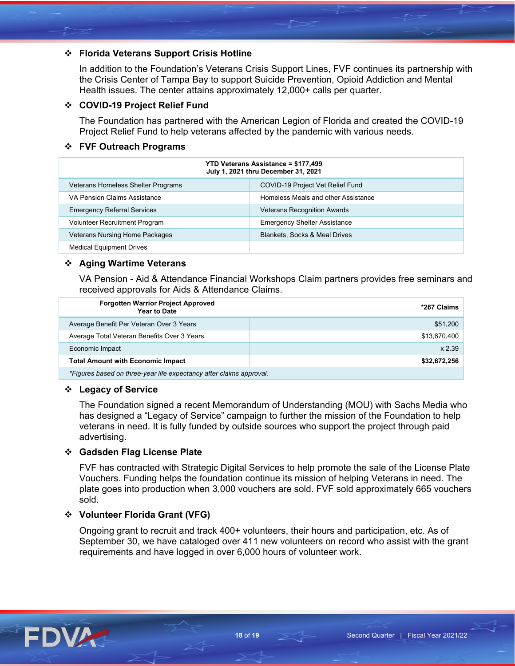# **Florida Veterans Support Crisis Hotline**

In addition to the Foundation's Veterans Crisis Support Lines, FVF continues its partnership with the Crisis Center of Tampa Bay to support Suicide Prevention, Opioid Addiction and Mental Health issues. The center attains approximately 12,000+ calls per quarter.

#### **COVID-19 Project Relief Fund**

The Foundation has partnered with the American Legion of Florida and created the COVID-19 Project Relief Fund to help veterans affected by the pandemic with various needs.

### **FVF Outreach Programs**

| <b>YTD Veterans Assistance = \$177,499</b><br>July 1, 2021 thru December 31, 2021 |                                          |  |
|-----------------------------------------------------------------------------------|------------------------------------------|--|
| <b>Veterans Homeless Shelter Programs</b>                                         | COVID-19 Project Vet Relief Fund         |  |
| VA Pension Claims Assistance                                                      | Homeless Meals and other Assistance      |  |
| <b>Emergency Referral Services</b>                                                | <b>Veterans Recognition Awards</b>       |  |
| Volunteer Recruitment Program                                                     | <b>Emergency Shelter Assistance</b>      |  |
| <b>Veterans Nursing Home Packages</b>                                             | <b>Blankets, Socks &amp; Meal Drives</b> |  |
| <b>Medical Equipment Drives</b>                                                   |                                          |  |

### **Aging Wartime Veterans**

VA Pension - Aid & Attendance Financial Workshops Claim partners provides free seminars and received approvals for Aids & Attendance Claims.

| <b>Forgotten Warrior Project Approved</b><br>Year to Date           | *267 Claims  |
|---------------------------------------------------------------------|--------------|
| Average Benefit Per Veteran Over 3 Years                            | \$51,200     |
| Average Total Veteran Benefits Over 3 Years                         | \$13.670.400 |
| Economic Impact                                                     | x 2.39       |
| <b>Total Amount with Economic Impact</b>                            | \$32,672,256 |
| *Figures based on three-year life expectancy after claims approval. |              |

#### **Legacy of Service**

The Foundation signed a recent Memorandum of Understanding (MOU) with Sachs Media who has designed a "Legacy of Service" campaign to further the mission of the Foundation to help veterans in need. It is fully funded by outside sources who support the project through paid advertising.

#### **Gadsden Flag License Plate**

FVF has contracted with Strategic Digital Services to help promote the sale of the License Plate Vouchers. Funding helps the foundation continue its mission of helping Veterans in need. The plate goes into production when 3,000 vouchers are sold. FVF sold approximately 665 vouchers sold.

#### **Volunteer Florida Grant (VFG)**

Ongoing grant to recruit and track 400+ volunteers, their hours and participation, etc. As of September 30, we have cataloged over 411 new volunteers on record who assist with the grant requirements and have logged in over 6,000 hours of volunteer work.